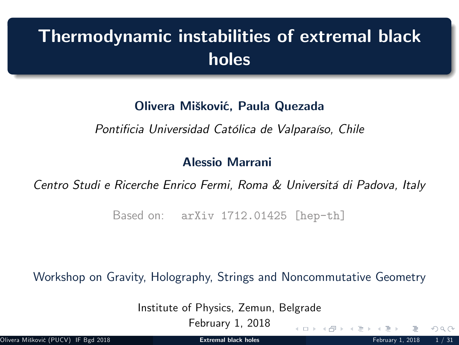# Thermodynamic instabilities of extremal black holes

### Olivera Mišković, Paula Quezada

Pontificia Universidad Católica de Valparaíso, Chile

#### Alessio Marrani

Centro Studi e Ricerche Enrico Fermi, Roma & Universitá di Padova, Italy

Based on: arXiv 1712.01425 [hep-th]

Workshop on Gravity, Holography, Strings and Noncommutative Geometry

Institute of Physics, Zemun, Belgrade

February 1, 2018

<span id="page-0-0"></span> $\Omega \Omega$ 

 $4$  ロ }  $4$   $\overline{m}$  }  $4$   $\overline{m}$  }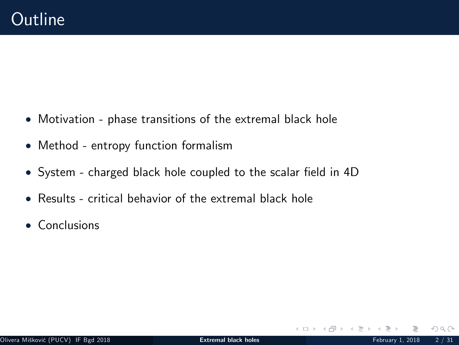- Motivation phase transitions of the extremal black hole
- Method entropy function formalism
- System charged black hole coupled to the scalar field in 4D
- Results critical behavior of the extremal black hole
- Conclusions

 $OQ$ 

 $4$  ロ }  $4$   $\sqrt{2}$  }  $4$   $\sqrt{2}$  }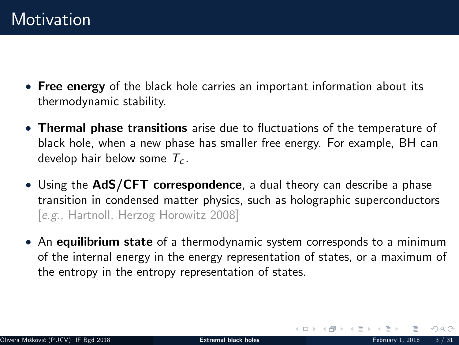- Free energy of the black hole carries an important information about its thermodynamic stability.
- Thermal phase transitions arise due to fluctuations of the temperature of black hole, when a new phase has smaller free energy. For example, BH can develop hair below some  $T_c$ .
- Using the AdS/CFT correspondence, a dual theory can describe a phase transition in condensed matter physics, such as holographic superconductors [e.g., Hartnoll, Herzog Horowitz 2008]
- An equilibrium state of a thermodynamic system corresponds to a minimum of the internal energy in the energy representation of states, or a maximum of the entropy in the entropy representation of states.

 $\Omega$ 

イロト イ御 トイミトス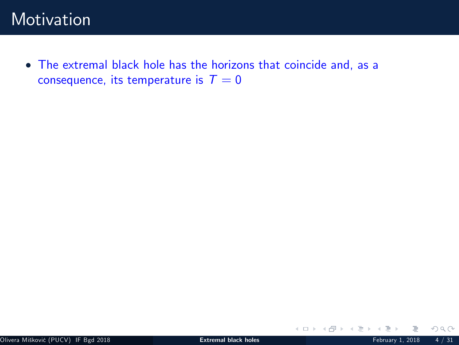The extremal black hole has the horizons that coincide and, as a consequence, its temperature is  $T = 0$ 

 $2Q$ 

イロト イ団ト イミト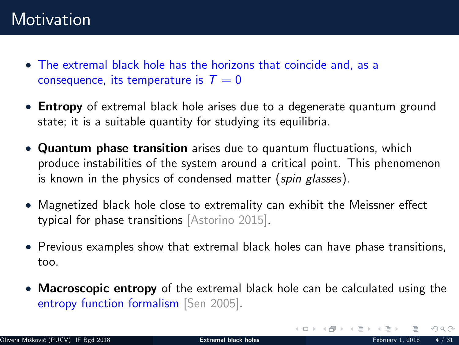- The extremal black hole has the horizons that coincide and, as a consequence, its temperature is  $T = 0$
- **Entropy** of extremal black hole arises due to a degenerate quantum ground state; it is a suitable quantity for studying its equilibria.
- Quantum phase transition arises due to quantum fluctuations, which produce instabilities of the system around a critical point. This phenomenon is known in the physics of condensed matter (spin glasses).
- Magnetized black hole close to extremality can exhibit the Meissner effect typical for phase transitions [Astorino 2015].
- Previous examples show that extremal black holes can have phase transitions, too.
- Macroscopic entropy of the extremal black hole can be calculated using the entropy function formalism [Sen 2005].

 $OQ$ 

イロト イ部ト イミトイ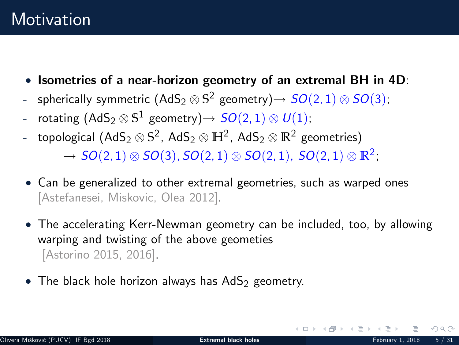- $\bullet$  Isometries of a near-horizon geometry of an extremal BH in 4D:
- spherically symmetric  $(AdS_2 \otimes S^2$  geometry) $\rightarrow SO(2,1) \otimes SO(3)$ ;
- rotating  $(AdS_2 \otimes S^1$  geometry)  $\rightarrow SO(2, 1) \otimes U(1);$
- topological  $(AdS_2 \otimes S^2, AdS_2 \otimes H^2, AdS_2 \otimes R^2$  geometries)

 $\rightarrow SO(2, 1) \otimes SO(3), SO(2, 1) \otimes SO(2, 1), SO(2, 1) \otimes \mathbb{R}^2;$ 

- Can be generalized to other extremal geometries, such as warped ones [Astefanesei, Miskovic, Olea 2012].
- The accelerating Kerr-Newman geometry can be included, too, by allowing warping and twisting of the above geometies [Astorino 2015, 2016].
- $\bullet$  The black hole horizon always has AdS<sub>2</sub> geometry.

イロト イ御 トイミトス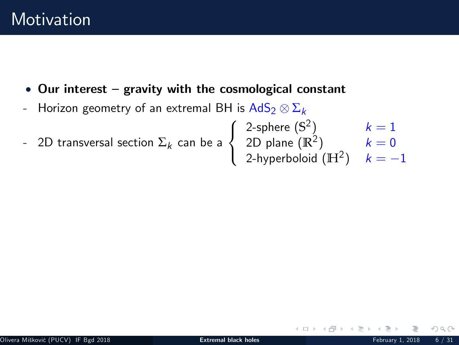- $\bullet$  Our interest gravity with the cosmological constant
- $\,$  Horizon geometry of an extremal BH is  $\mathsf{AdS}_2 \otimes \Sigma_k$
- $\,$  2D transversal section  $\Sigma_{k}$  can be a  $\sqrt{2}$  $\left| \right|$  $\mathbf{I}$ 2-sphere  $(\mathbb{S}^2)$   $k=1$  $2\mathsf{D}$  plane  $(\mathbb{R}^2)$   $k=0$ 2-hyperboloid  $(\mathbb{H}^2)$   $k=-1$

イロト イ母 ト イヨト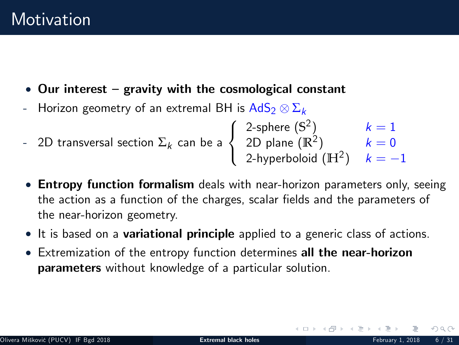- $\bullet$  Our interest gravity with the cosmological constant
- $\,$  Horizon geometry of an extremal BH is  $\mathsf{AdS}_2 \otimes \Sigma_k$
- $\,$  2D transversal section  $\Sigma_{k}$  can be a  $\sqrt{2}$  $\left| \right|$  $\mathbf{I}$ 2-sphere  $(\mathbb{S}^2)$   $k=1$  $2\mathsf{D}$  plane  $(\mathbb{R}^2)$   $k=0$ 2-hyperboloid  $(\mathbb{H}^2)$   $k=-1$
- **Entropy function formalism** deals with near-horizon parameters only, seeing the action as a function of the charges, scalar fields and the parameters of the near-horizon geometry.
- It is based on a **variational principle** applied to a generic class of actions.
- **Extremization of the entropy function determines all the near-horizon** parameters without knowledge of a particular solution.

イロト イ部ト イミトス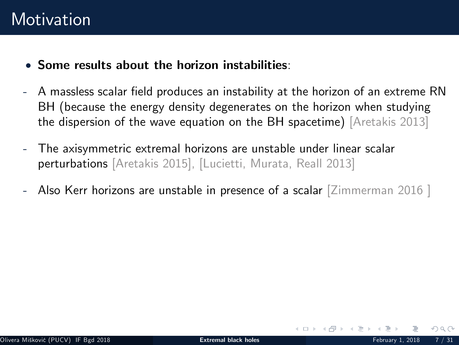- Some results about the horizon instabilities:
- A massless scalar field produces an instability at the horizon of an extreme RN BH (because the energy density degenerates on the horizon when studying the dispersion of the wave equation on the BH spacetime) [Aretakis 2013]
- The axisymmetric extremal horizons are unstable under linear scalar perturbations [Aretakis 2015], [Lucietti, Murata, Reall 2013]
- Also Kerr horizons are unstable in presence of a scalar  $\lceil\frac{Z}{2}\rceil$  mmerman 2016  $\lceil$

イロト イ母 ト イヨト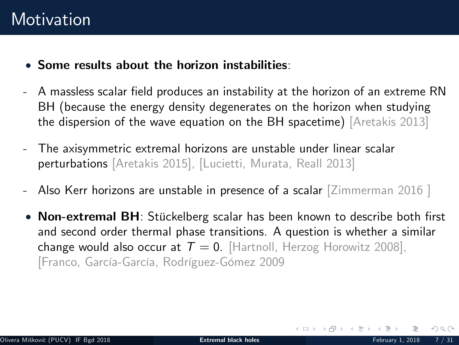- Some results about the horizon instabilities:
- A massless scalar field produces an instability at the horizon of an extreme RN BH (because the energy density degenerates on the horizon when studying the dispersion of the wave equation on the BH spacetime) [Aretakis 2013]
- The axisymmetric extremal horizons are unstable under linear scalar perturbations [Aretakis 2015], [Lucietti, Murata, Reall 2013]
- Also Kerr horizons are unstable in presence of a scalar [Zimmerman 2016 ]
- Non-extremal BH: Stückelberg scalar has been known to describe both first and second order thermal phase transitions. A question is whether a similar change would also occur at  $T = 0$ . [Hartnoll, Herzog Horowitz 2008], [Franco, García-García, Rodríguez-Gómez 2009

 $\Omega$ 

イロト イ部ト イミトス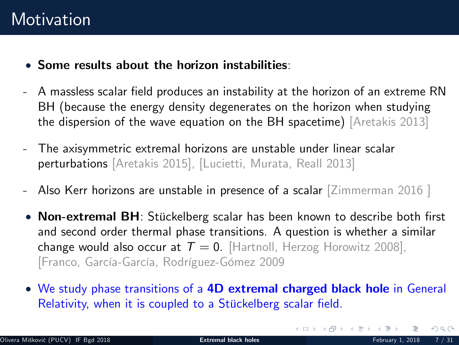- Some results about the horizon instabilities:
- A massless scalar field produces an instability at the horizon of an extreme RN BH (because the energy density degenerates on the horizon when studying the dispersion of the wave equation on the BH spacetime) [Aretakis 2013]
- The axisymmetric extremal horizons are unstable under linear scalar perturbations [Aretakis 2015], [Lucietti, Murata, Reall 2013]
- Also Kerr horizons are unstable in presence of a scalar [Zimmerman 2016 ]
- Non-extremal BH: Stückelberg scalar has been known to describe both first and second order thermal phase transitions. A question is whether a similar change would also occur at  $T = 0$ . [Hartnoll, Herzog Horowitz 2008], [Franco, García-García, Rodríguez-Gómez 2009
- We study phase transitions of a 4D extremal charged black hole in General Relativity, when it is coupled to a Stückelberg scalar field.

 $OQ$ 

イロト イ部ト イミトイ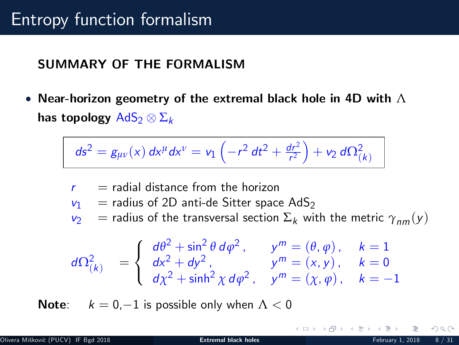### SUMMARY OF THE FORMALISM

• Near-horizon geometry of the extremal black hole in 4D with  $\Lambda$ has topology  $\mathsf{AdS}_2 \otimes \Sigma_k$ 

$$
ds^{2} = g_{\mu\nu}(x) dx^{\mu} dx^{\nu} = v_{1} \left( -r^{2} dt^{2} + \frac{dr^{2}}{r^{2}} \right) + v_{2} d\Omega_{(k)}^{2}
$$

$$
r = \text{radial distance from the horizon}
$$
\n
$$
v_1 = \text{radius of 2D anti-de Sitter space AdS}_2
$$
\n
$$
v_2 = \text{radius of the transversal section } \Sigma_k \text{ with the metric } \gamma_{nm}(y)
$$
\n
$$
\left(\frac{d\theta^2 + \sin^2 \theta \, d\phi^2}{\theta^2}, \dots, \frac{d\theta^m}{\theta^m} = (\theta, \phi), \quad k = 1
$$

$$
d\Omega_{(k)}^2 = \begin{cases} d\theta^2 + \sin^2 \theta \, d\varphi^2, & y^m = (\theta, \varphi), & k = 1 \\ dx^2 + dy^2, & y^m = (x, y), & k = 0 \\ d\chi^2 + \sinh^2 \chi \, d\varphi^2, & y^m = (\chi, \varphi), & k = -1 \end{cases}
$$

**Note:**  $k = 0, -1$  is possible only when  $\Lambda < 0$ 

 $\Omega$ 

イロト イ母 ト イヨト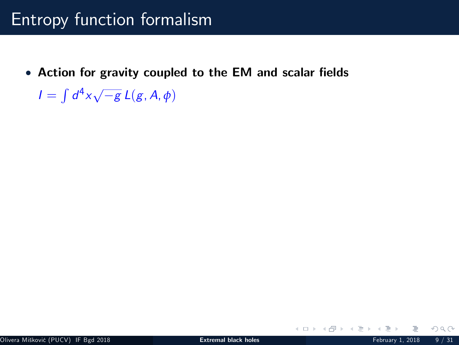• Action for gravity coupled to the EM and scalar fields

 $I = \int d^4x \sqrt{-g} L(g, A, \phi)$ 

 $2Q$ 

**K ロト K 倒 ト K ミト K**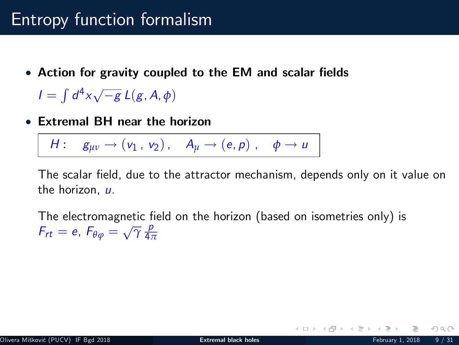• Action for gravity coupled to the EM and scalar fields

 $I = \int d^4x \sqrt{-g} L(g, A, \phi)$ 

Extremal BH near the horizon

 $H: \quad g_{uv} \rightarrow (v_1, v_2), \quad A_u \rightarrow (e, p), \quad \phi \rightarrow u$ 

The scalar field, due to the attractor mechanism, depends only on it value on the horizon, u.

The electromagnetic field on the horizon (based on isometries only) is  $F_{rt} = e$ ,  $F_{\theta\varphi} = \sqrt{\gamma} \frac{\rho}{4\pi}$ 4*π*

メロト メタト メミトメ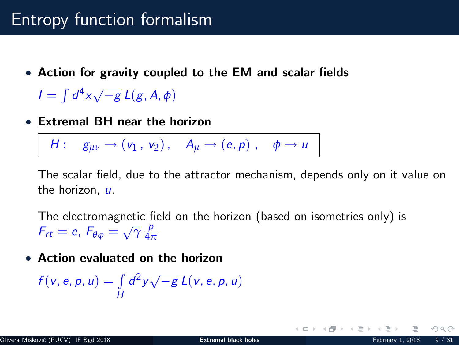• Action for gravity coupled to the EM and scalar fields

 $I = \int d^4x \sqrt{-g} L(g, A, \phi)$ 

Extremal BH near the horizon

 $H: \quad g_{uv} \rightarrow (v_1, v_2), \quad A_u \rightarrow (e, p), \quad \phi \rightarrow u$ 

The scalar field, due to the attractor mechanism, depends only on it value on the horizon, u.

The electromagnetic field on the horizon (based on isometries only) is  $F_{rt} = e$ ,  $F_{\theta\varphi} = \sqrt{\gamma} \frac{\rho}{4\pi}$ 4*π*

Action evaluated on the horizon

$$
f(v, e, p, u) = \int\limits_H d^2y \sqrt{-g} L(v, e, p, u)
$$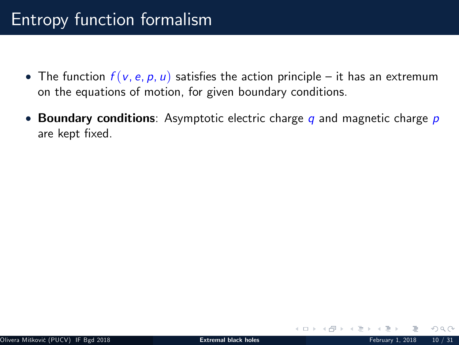- The function  $f(v, e, p, u)$  satisfies the action principle it has an extremum on the equations of motion, for given boundary conditions.
- Boundary conditions: Asymptotic electric charge q and magnetic charge  $p$ are kept fixed.

 $\Omega$ 

**≮ロト ⊀ 伊 ト ⊀ ヨ ト**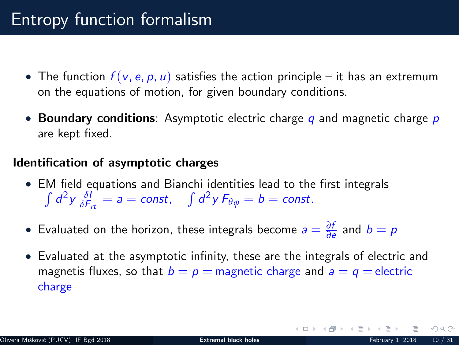- The function  $f(v, e, p, u)$  satisfies the action principle it has an extremum on the equations of motion, for given boundary conditions.
- **Boundary conditions**: Asymptotic electric charge q and magnetic charge  $p$ are kept fixed.

#### Identification of asymptotic charges

- EM field equations and Bianchi identities lead to the first integrals  $\int d^2y \frac{\delta l}{\delta F_{\tau t}} = a = \text{const}, \quad \int d^2y F_{\theta\varphi} = b = \text{const}.$
- $\bullet$  Evaluated on the horizon, these integrals become  $a = \frac{\partial f}{\partial e}$  and  $b = p$
- Evaluated at the asymptotic infinity, these are the integrals of electric and magnetis fluxes, so that  $b = p =$  magnetic charge and  $a = q =$  electric charge

 $\Omega$ 

イロト イ御 トイモト イモ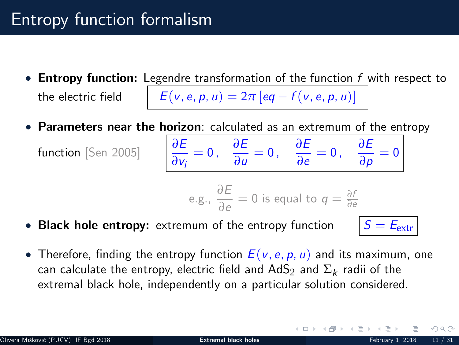- **Entropy function:** Legendre transformation of the function  $f$  with respect to the electric field  $E(v, e, p, u) = 2\pi [eq - f(v, e, p, u)]$
- Parameters near the horizon: calculated as an extremum of the entropy

function [Sen 2005] *<sup>∂</sup>*<sup>E</sup>

*∂*vi  $= 0$ ,  $\frac{\partial E}{\partial x}$ *∂E*<br>*∂u* = 0, *∂e ∂E*<br>*∂e* = 0,  $\frac{\partial E}{\partial p}$  $\frac{\partial \mathbf{L}}{\partial \mathbf{p}} = 0$ 

g., 
$$
\frac{\partial E}{\partial e} = 0
$$
 is equal to  $q = \frac{\partial f}{\partial e}$ 

• Black hole entropy: extremum of the entropy function  $S = E_{\text{extr}}$ 

 $\epsilon$ .

**K ロト K 母 ト K ヨ ト K** 

• Therefore, finding the entropy function  $E(v, e, p, u)$  and its maximum, one can calculate the entropy, electric field and  $\mathsf{AdS}_2$  and  $\Sigma_k$  radii of the extremal black hole, independently on a particular solution considered.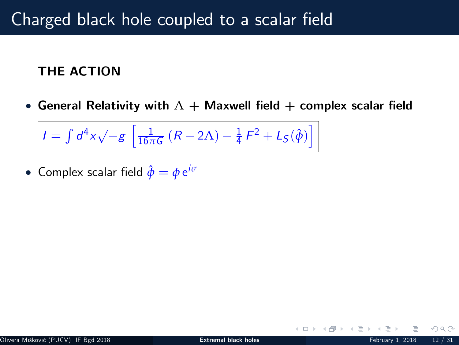### THE ACTION

• General Relativity with  $\Lambda$  + Maxwell field + complex scalar field

$$
I = \int d^4x \sqrt{-g} \left[ \frac{1}{16\pi G} \left( R - 2\Lambda \right) - \frac{1}{4} F^2 + L_S(\hat{\phi}) \right]
$$

 $\bullet$  Complex scalar field  $\hat{\phi} = \phi\, \text{e}^{i\sigma}$ 

 $\Omega$ 

**∢ ロ ▶ ィ 何 ▶ ィ**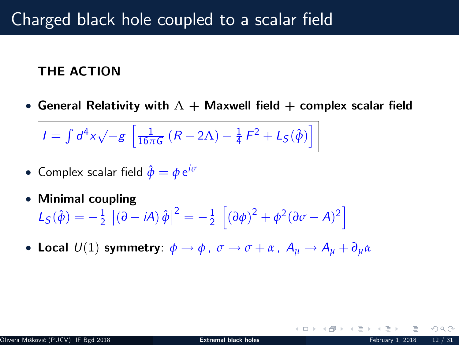### THE ACTION

• General Relativity with  $\Lambda$  + Maxwell field + complex scalar field

$$
I = \int d^4x \sqrt{-g} \left[ \frac{1}{16\pi G} \left( R - 2\Lambda \right) - \frac{1}{4} F^2 + L_S(\hat{\phi}) \right]
$$

- $\bullet$  Complex scalar field  $\hat{\phi} = \phi\, \text{e}^{i\sigma}$
- Minimal coupling

$$
L_S(\hat{\phi}) = -\frac{1}{2} \left[ (\partial - iA) \hat{\phi} \right]^2 = -\frac{1}{2} \left[ (\partial \phi)^2 + \phi^2 (\partial \sigma - A)^2 \right]
$$

• Local  $U(1)$  symmetry:  $\phi \rightarrow \phi$ ,  $\sigma \rightarrow \sigma + \alpha$ ,  $A_{\mu} \rightarrow A_{\mu} + \partial_{\mu} \alpha$ 

 $\Omega$ 

**K ロ ▶ | K 何 ▶ | K 日**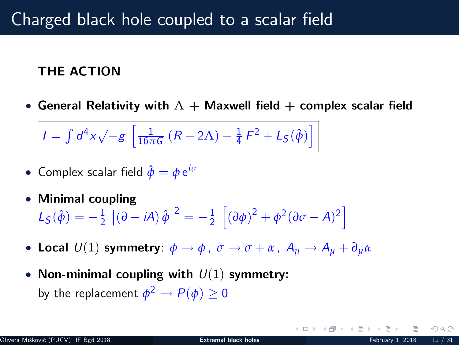### THE ACTION

• General Relativity with  $\Lambda$  + Maxwell field + complex scalar field

$$
I = \int d^4x \sqrt{-g} \left[ \frac{1}{16\pi G} \left( R - 2\Lambda \right) - \frac{1}{4} F^2 + L_S(\hat{\phi}) \right]
$$

- $\bullet$  Complex scalar field  $\hat{\phi} = \phi\, \text{e}^{i\sigma}$
- Minimal coupling

$$
L_S(\hat{\phi}) = -\frac{1}{2} \left[ (\partial - iA) \hat{\phi} \right]^2 = -\frac{1}{2} \left[ (\partial \phi)^2 + \phi^2 (\partial \sigma - A)^2 \right]
$$

- Local  $U(1)$  symmetry:  $\phi \rightarrow \phi$ ,  $\sigma \rightarrow \sigma + \alpha$ ,  $A_u \rightarrow A_u + \partial_u \alpha$
- Non-minimal coupling with  $U(1)$  symmetry: by the replacement  $\phi^2 \to P(\phi) \geq 0$

 $\Omega$ 

**K ロ ▶ | K 何 ▶ | K 日**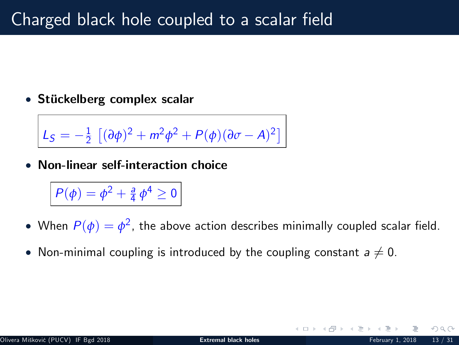$\bullet$  Stückelberg complex scalar

$$
L_S = -\frac{1}{2} \left[ (\partial \phi)^2 + m^2 \phi^2 + P(\phi)(\partial \sigma - A)^2 \right]
$$

Non-linear self-interaction choice

$$
P(\phi)=\phi^2+\tfrac{a}{4}\,\phi^4\geq 0
$$

- $\bullet$  When  $P(\phi) = \phi^2$ , the above action describes minimally coupled scalar field.
- Non-minimal coupling is introduced by the coupling constant  $a \neq 0$ .

- ← ロ ▶ → r型 ▶ → ←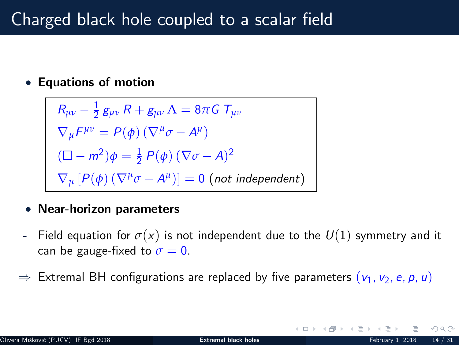### Equations of motion

$$
R_{\mu\nu} - \frac{1}{2} g_{\mu\nu} R + g_{\mu\nu} \Lambda = 8\pi G T_{\mu\nu}
$$
  
\n
$$
\nabla_{\mu} F^{\mu\nu} = P(\phi) (\nabla^{\mu} \sigma - A^{\mu})
$$
  
\n
$$
(\Box - m^2) \phi = \frac{1}{2} P(\phi) (\nabla \sigma - A)^2
$$
  
\n
$$
\nabla_{\mu} [P(\phi) (\nabla^{\mu} \sigma - A^{\mu})] = 0 \text{ (not independent)}
$$

#### Near-horizon parameters

- Field equation for  $\sigma(x)$  is not independent due to the  $U(1)$  symmetry and it can be gauge-fixed to  $\sigma = 0$ .
- $\Rightarrow$  Extremal BH configurations are replaced by five parameters  $(v_1, v_2, e, p, u)$

 $\Omega$ 

**≮ロト ⊀ 伊 ト ⊀ 手**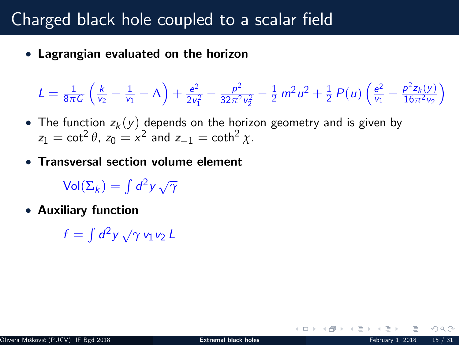Lagrangian evaluated on the horizon

$$
L = \frac{1}{8\pi G} \left( \frac{k}{v_2} - \frac{1}{v_1} - \Lambda \right) + \frac{e^2}{2v_1^2} - \frac{p^2}{32\pi^2 v_2^2} - \frac{1}{2} m^2 u^2 + \frac{1}{2} P(u) \left( \frac{e^2}{v_1} - \frac{p^2 z_k(y)}{16\pi^2 v_2} \right)
$$

- The function  $z_k(y)$  depends on the horizon geometry and is given by  $z_1 = \cot^2 \theta$ ,  $z_0 = x^2$  and  $z_{-1} = \coth^2 \chi$ .
- Transversal section volume element

 $\mathsf{Vol}(\Sigma_k) = \int d^2y \, \sqrt{\gamma}$ 

Auxiliary function

 $f = \int d^2y \, \sqrt{\gamma} \, v_1v_2 \, L$ 

イロト イ母 ト イヨト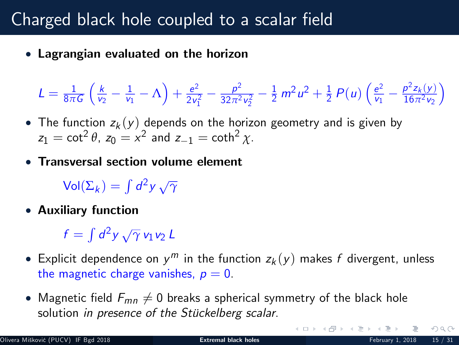Lagrangian evaluated on the horizon

$$
L = \frac{1}{8\pi G} \left( \frac{k}{v_2} - \frac{1}{v_1} - \Lambda \right) + \frac{e^2}{2v_1^2} - \frac{p^2}{32\pi^2 v_2^2} - \frac{1}{2} m^2 u^2 + \frac{1}{2} P(u) \left( \frac{e^2}{v_1} - \frac{p^2 z_k(y)}{16\pi^2 v_2} \right)
$$

- The function  $z_k(y)$  depends on the horizon geometry and is given by  $z_1 = \cot^2 \theta$ ,  $z_0 = x^2$  and  $z_{-1} = \coth^2 \chi$ .
- Transversal section volume element

 $\mathsf{Vol}(\Sigma_k) = \int d^2y \, \sqrt{\gamma}$ 

Auxiliary function

 $f = \int d^2y \, \sqrt{\gamma} \, v_1v_2 \, L$ 

- Explicit dependence on  $y^m$  in the function  $z_k(y)$  makes  $f$  divergent, unless the magnetic charge vanishes,  $p = 0$ .
- Magnetic field  $F_{mn} \neq 0$  breaks a spherical symmetry of the black hole solution in presence of the Stückelberg scalar.

 $OQ$ 

 $4\ \Box\ \rightarrow\ \ 4\ \Box\ \rightarrow\ \ 4\ \ \Xi\ \rightarrow\ \ 4$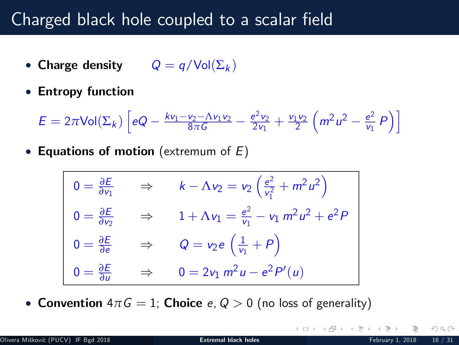- Charge density  $Q = q/\text{Vol}(\Sigma_k)$
- Entropy function

 $E = 2\pi$ Vol(Σ<sub>k</sub>)  $\left[$ eQ –  $\frac{kv_1 - v_2 - \Lambda v_1v_2}{8\pi G} - \frac{e^2v_2}{2v_1} + \frac{v_1v_2}{2} \right]$  $\left(m^2 u^2 - \frac{e^2}{v_1}\right)$  $\frac{e^2}{v_1} P$ 

• Equations of motion (extremum of  $E$ )

$$
0 = \frac{\partial E}{\partial v_1} \Rightarrow k - \Lambda v_2 = v_2 \left(\frac{e^2}{v_1^2} + m^2 u^2\right)
$$
  
\n
$$
0 = \frac{\partial E}{\partial v_2} \Rightarrow 1 + \Lambda v_1 = \frac{e^2}{v_1} - v_1 m^2 u^2 + e^2 P
$$
  
\n
$$
0 = \frac{\partial E}{\partial e} \Rightarrow Q = v_2 e \left(\frac{1}{v_1} + P\right)
$$
  
\n
$$
0 = \frac{\partial E}{\partial u} \Rightarrow 0 = 2v_1 m^2 u - e^2 P'(u)
$$

**Convention**  $4\pi G = 1$ ; Choice e,  $Q > 0$  (no loss of generality)

イロト イ母 ト イヨト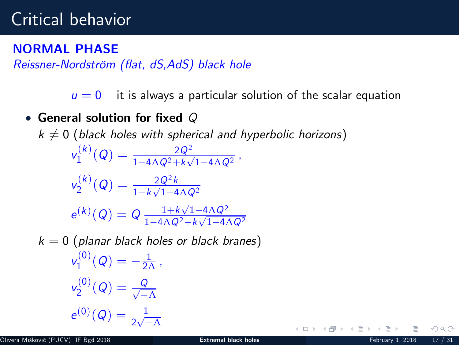### NORMAL PHASE

Reissner-Nordström (flat, dS, AdS) black hole

 $u = 0$  it is always a particular solution of the scalar equation

### • General solution for fixed  $Q$

 $k \neq 0$  (black holes with spherical and hyperbolic horizons)  $v_1^{(k)}$  $\chi_1^{(k)}(Q) = \frac{2 Q^2}{1 - 4 \Lambda Q^2 + k \sqrt{1 - 4 \Lambda Q^2}}$  ,  $v_2^{(k)}$  $\chi_2^{(k)}(Q) = \frac{2Q^2k}{1+k\sqrt{1-4\Lambda Q^2}}$  $e^{(k)}(Q) = Q \frac{1 + k\sqrt{1 - 4\Lambda Q^2}}{1 - 4\Lambda Q^2 + k\sqrt{1 - 4\Lambda Q^2}}$  $\frac{1-4\Lambda Q^2 + k\sqrt{1-4\Lambda Q^2}}{1-4\Lambda Q^2}$  $k = 0$  (planar black holes or black branes)  $v_1^{(0)}$  $\gamma_1^{(0)}(Q)=-\frac{1}{2\Lambda}$  ,  $v_2^{(0)}$  $\chi^{(0)}_2(Q)=\frac{Q}{\sqrt{-\frac{Q}{2}}}$  $-\Lambda$  $e^{(0)}(Q) = \frac{1}{2\sqrt{-\Lambda}}$ **K ロト K 母 ト K ヨ ト K**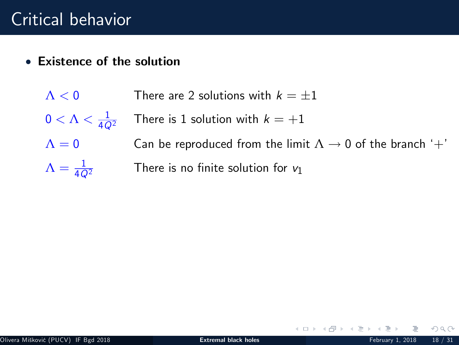- Existence of the solution
	- $\Lambda < 0$  There are 2 solutions with  $k = \pm 1$  $0 < \Lambda < \frac{1}{4Q^2}$ There is 1 solution with  $k = +1$  $\Lambda = 0$  Can be reproduced from the limit  $\Lambda \to 0$  of the branch '+'  $\Lambda = \frac{1}{4Q^2}$ There is no finite solution for  $v_1$

 $OQ$ 

K ロ ▶ (K @ ) ( ( ミ ) .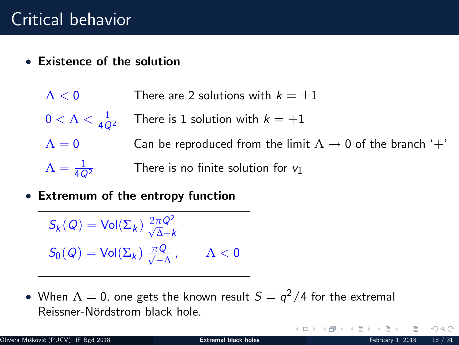- Existence of the solution
	- $\Lambda < 0$  There are 2 solutions with  $k = \pm 1$
	- $0 < \Lambda < \frac{1}{4\Omega^2}$ There is 1 solution with  $k = +1$
	- $\Lambda = 0$  Can be reproduced from the limit  $\Lambda \to 0$  of the branch '+'  $\Lambda = \frac{1}{4\Omega^2}$ 
		- There is no finite solution for  $v_1$
- Extremum of the entropy function

$$
S_k(Q) = Vol(\Sigma_k) \frac{2\pi Q^2}{\sqrt{\Delta} + k}
$$
  

$$
S_0(Q) = Vol(\Sigma_k) \frac{\pi Q}{\sqrt{-\Lambda}}, \qquad \Lambda < 0
$$

 $\bullet\,$  When  $\Lambda=0$ , one gets the known result  $S=q^2/4$  for the extremal Reissner-Nördstrom black hole.

 $\Omega$ 

 $4$  ロ }  $4$   $\overline{m}$  }  $4$   $\overline{m}$  }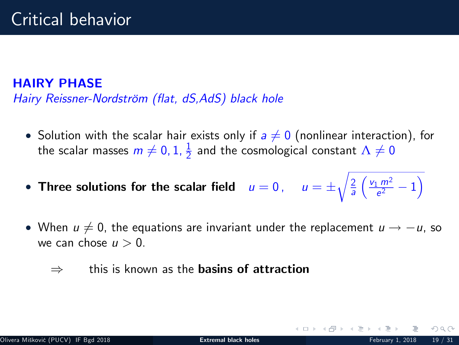#### HAIRY PHASE

Hairy Reissner-Nordström (flat, dS,AdS) black hole

- $\bullet\,$  Solution with the scalar hair exists only if  $a\neq 0$  (nonlinear interaction), for the scalar masses  $m \neq 0, 1, \frac{1}{2}$  and the cosmological constant  $\Lambda \neq 0$
- Three solutions for the scalar field  $u = 0$  ,  $u = \pm$  $\sqrt{\frac{2}{a}}$  $\left(\frac{v_1 m^2}{e^2}-1\right)$
- When  $u \neq 0$ , the equations are invariant under the replacement  $u \rightarrow -u$ , so we can chose  $u > 0$ .
	- $\Rightarrow$  this is known as the **basins of attraction**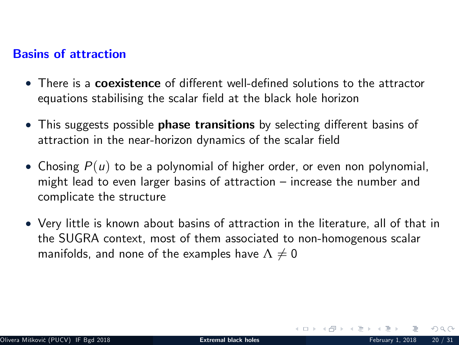#### Basins of attraction

- There is a coexistence of different well-defined solutions to the attractor equations stabilising the scalar field at the black hole horizon
- This suggests possible **phase transitions** by selecting different basins of attraction in the near-horizon dynamics of the scalar field
- Chosing  $P(u)$  to be a polynomial of higher order, or even non polynomial, might lead to even larger basins of attraction  $-$  increase the number and complicate the structure
- Very little is known about basins of attraction in the literature, all of that in the SUGRA context, most of them associated to non-homogenous scalar manifolds, and none of the examples have  $\Lambda\neq 0$

 $\Omega \Omega$ 

 $\leftarrow$   $\leftarrow$   $\leftarrow$   $\leftarrow$   $\leftarrow$   $\leftarrow$   $\leftarrow$   $\leftarrow$   $\leftarrow$   $\leftarrow$   $\leftarrow$   $\leftarrow$   $\leftarrow$   $\leftarrow$   $\leftarrow$   $\leftarrow$   $\leftarrow$   $\leftarrow$   $\leftarrow$   $\leftarrow$   $\leftarrow$   $\leftarrow$   $\leftarrow$   $\leftarrow$   $\leftarrow$   $\leftarrow$   $\leftarrow$   $\leftarrow$   $\leftarrow$   $\leftarrow$   $\leftarrow$   $\leftarrow$   $\leftarrow$   $\leftarrow$   $\leftarrow$   $\leftarrow$   $\leftarrow$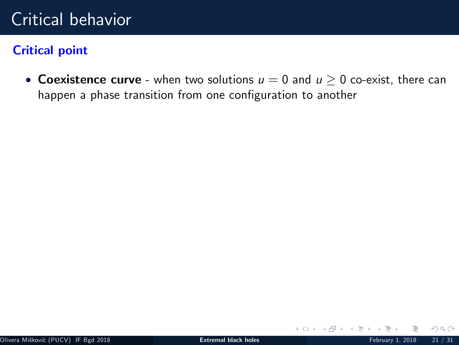### Critical point

• Coexistence curve - when two solutions  $u = 0$  and  $u \ge 0$  co-exist, there can happen a phase transition from one configuration to another

K ロ ▶ K (伊 ▶ K ) 등

 $2Q$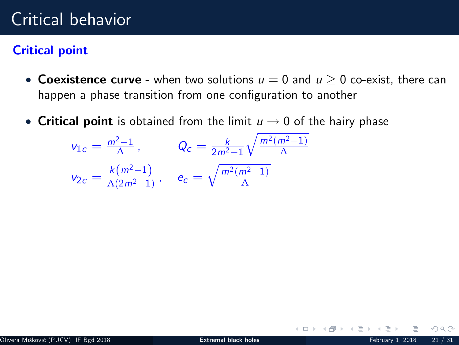### Critical point

- Coexistence curve when two solutions  $u = 0$  and  $u > 0$  co-exist, there can happen a phase transition from one configuration to another
- Critical point is obtained from the limit  $u \rightarrow 0$  of the hairy phase

$$
v_{1c} = \frac{m^2 - 1}{\Lambda},
$$
  $Q_c = \frac{k}{2m^2 - 1} \sqrt{\frac{m^2(m^2 - 1)}{\Lambda}}$   
 $v_{2c} = \frac{k(m^2 - 1)}{\Lambda(2m^2 - 1)},$   $e_c = \sqrt{\frac{m^2(m^2 - 1)}{\Lambda}}$ 

 $\Omega$ 

**K ロ ▶ | K 何 ▶ | K 日**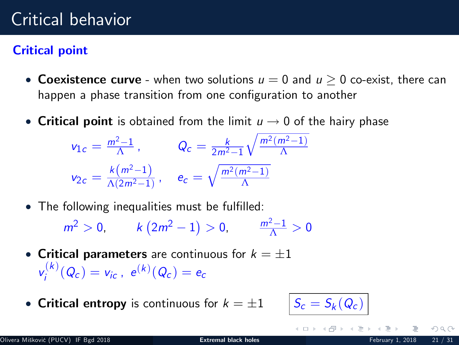### Critical point

- Coexistence curve when two solutions  $u = 0$  and  $u > 0$  co-exist, there can happen a phase transition from one configuration to another
- Critical point is obtained from the limit  $u \rightarrow 0$  of the hairy phase

$$
v_{1c} = \frac{m^2 - 1}{\Lambda}, \qquad Q_c = \frac{k}{2m^2 - 1} \sqrt{\frac{m^2(m^2 - 1)}{\Lambda}}
$$

$$
v_{2c} = \frac{k(m^2 - 1)}{\Lambda(2m^2 - 1)}, \qquad e_c = \sqrt{\frac{m^2(m^2 - 1)}{\Lambda}}
$$

• The following inequalities must be fulfilled:

$$
m^2 > 0
$$
,  $k(2m^2 - 1) > 0$ ,  $\frac{m^2 - 1}{\Lambda} > 0$ 

- Critical parameters are continuous for  $k = \pm 1$  $v_i^{(k)}$  $v_i^{(k)}(Q_c) = v_{ic}$ ,  $e^{(k)}(Q_c) = e_c$
- Critical entropy is continuous for  $k = \pm 1$

$$
S_c=S_k(Q_c)
$$

 $\leftarrow$   $\exists$   $\rightarrow$   $\rightarrow$   $\exists$   $\rightarrow$   $\rightarrow$ 

 $\Omega$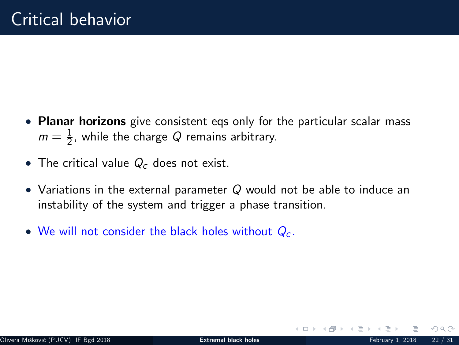- Planar horizons give consistent eqs only for the particular scalar mass  $m=\frac{1}{2}$ , while the charge  $Q$  remains arbitrary.
- The critical value  $Q_c$  does not exist.
- Variations in the external parameter  $Q$  would not be able to induce an instability of the system and trigger a phase transition.
- We will not consider the black holes without  $Q_c$ .

 $\Omega$ 

イロト イ母 ト イヨト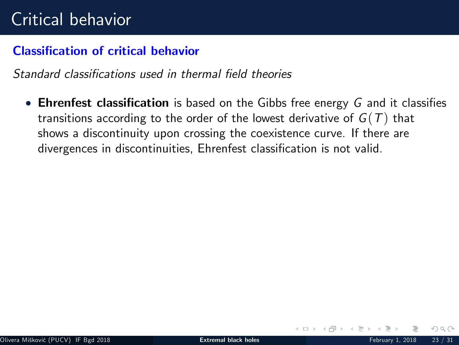#### Classification of critical behavior

Standard classifications used in thermal field theories

**Ehrenfest classification** is based on the Gibbs free energy G and it classifies transitions according to the order of the lowest derivative of  $G(T)$  that shows a discontinuity upon crossing the coexistence curve. If there are divergences in discontinuities, Ehrenfest classification is not valid.

 $\Omega$ 

イロト イ母ト イヨト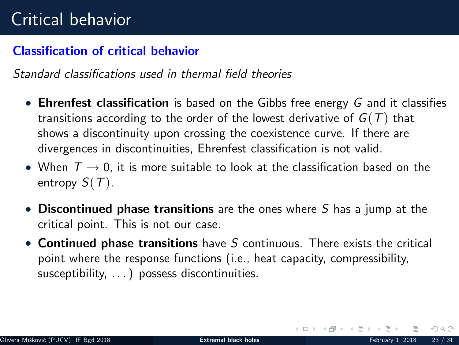#### Classification of critical behavior

Standard classifications used in thermal field theories

- **Ehrenfest classification** is based on the Gibbs free energy G and it classifies transitions according to the order of the lowest derivative of  $G(T)$  that shows a discontinuity upon crossing the coexistence curve. If there are divergences in discontinuities, Ehrenfest classification is not valid.
- When  $T \rightarrow 0$ , it is more suitable to look at the classification based on the entropy  $S(T)$ .
- Discontinued phase transitions are the ones where S has a jump at the critical point. This is not our case.
- Continued phase transitions have  $S$  continuous. There exists the critical point where the response functions (i.e., heat capacity, compressibility, susceptibility, ...) possess discontinuities.

 $OQ$ 

イロト イ御 トイモト イ毛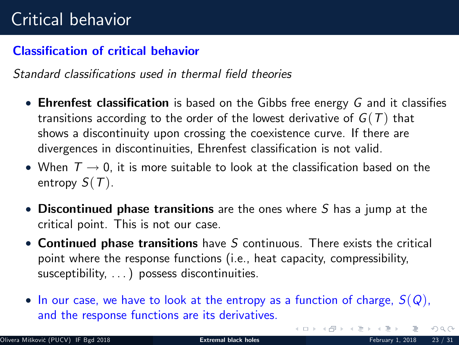#### Classification of critical behavior

Standard classifications used in thermal field theories

- **Ehrenfest classification** is based on the Gibbs free energy G and it classifies transitions according to the order of the lowest derivative of  $G(T)$  that shows a discontinuity upon crossing the coexistence curve. If there are divergences in discontinuities, Ehrenfest classification is not valid.
- When  $T \rightarrow 0$ , it is more suitable to look at the classification based on the entropy  $S(T)$ .
- Discontinued phase transitions are the ones where S has a jump at the critical point. This is not our case.
- Continued phase transitions have S continuous. There exists the critical point where the response functions (i.e., heat capacity, compressibility, susceptibility, ...) possess discontinuities.
- In our case, we have to look at the entropy as a function of charge,  $S(Q)$ , and the response functions are its derivatives.

 $OQ$ 

K ロ > R (部 > R 등 > R 등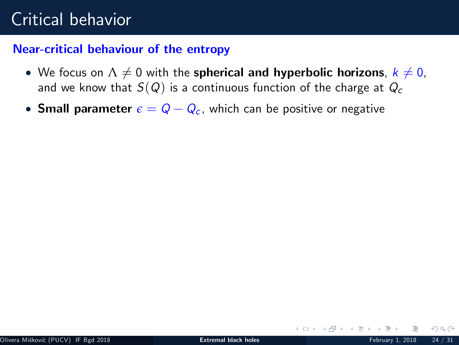#### Near-critical behaviour of the entropy

- We focus on  $\Lambda \neq 0$  with the spherical and hyperbolic horizons,  $k \neq 0$ , and we know that  $S(Q)$  is a continuous function of the charge at  $Q_c$
- **Small parameter**  $\epsilon = Q Q_c$ , which can be positive or negative

 $\Omega$ 

イロト イ母 ト イヨト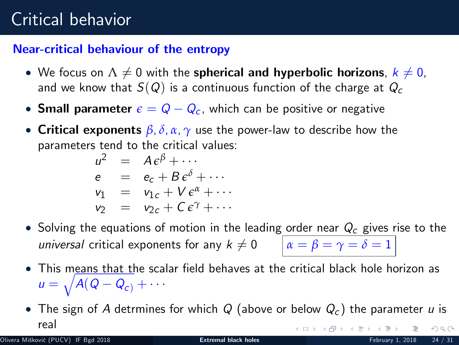#### Near-critical behaviour of the entropy

- We focus on  $\Lambda \neq 0$  with the spherical and hyperbolic horizons,  $k \neq 0$ , and we know that  $S(Q)$  is a continuous function of the charge at  $Q_c$
- **Small parameter**  $\epsilon = Q Q_c$ , which can be positive or negative
- Critical exponents *β*, *δ*, *α*, *γ* use the power-law to describe how the parameters tend to the critical values:

$$
u2 = A\epsilonβ + \cdots
$$
  
\ne = e<sub>c</sub> + B\epsilon<sup>δ</sup> + \cdots  
\nv<sub>1</sub> = v<sub>1c</sub> + V\epsilon<sup>α</sup> + \cdots  
\nv<sub>2</sub> = v<sub>2c</sub> + C\epsilon<sup>γ</sup> + \cdots

- Solving the equations of motion in the leading order near  $Q_c$  gives rise to the universal critical exponents for any  $k \neq 0$   $\alpha = \beta = \gamma = \delta = 1$
- This means that the scalar field behaves at the critical black hole horizon as  $u = \sqrt{A(Q - Q_c) + \cdots}$
- The sign of A detrmines for which Q (above or below  $Q_c$ ) the parameter u is real イロト イ部ト イミトイ  $OQ$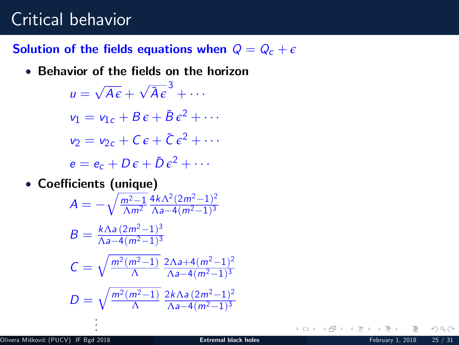### Solution of the fields equations when  $Q = Q_c + \epsilon$

• Behavior of the fields on the horizon

 $u = \sqrt{A\epsilon} + \sqrt{\tilde{A}\epsilon}^3 + \cdots$  $v_1 = v_{1c} + B\epsilon + \tilde{B}\epsilon^2 + \cdots$  $v_2 = v_{2c} + C \epsilon + \tilde{C} \epsilon^2 + \cdots$  $e = e_c + D \epsilon + \tilde{D} \epsilon^2 + \cdots$ 

• Coefficients (unique)

. .

$$
A = -\sqrt{\frac{m^2 - 1}{\Lambda m^2}} \frac{4k\Lambda^2 (2m^2 - 1)^2}{\Lambda a - 4(m^2 - 1)^3}
$$
  
\n
$$
B = \frac{k\Lambda a (2m^2 - 1)^3}{\Lambda a - 4(m^2 - 1)^3}
$$
  
\n
$$
C = \sqrt{\frac{m^2 (m^2 - 1)}{\Lambda}} \frac{2\Lambda a + 4(m^2 - 1)^2}{\Lambda a - 4(m^2 - 1)^3}
$$
  
\n
$$
D = \sqrt{\frac{m^2 (m^2 - 1)}{\Lambda}} \frac{2k\Lambda a (2m^2 - 1)^2}{\Lambda a - 4(m^2 - 1)^3}
$$

**K ロ ▶ | K 何 ▶ | K 日**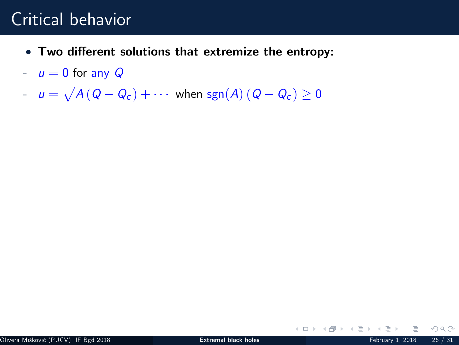- Two different solutions that extremize the entropy:
- $u = 0$  for any Q
- $u = \sqrt{A(Q Q_c)} + \cdots$  when  $sgn(A)(Q Q_c) \ge 0$

 $OQ$ 

イロト イ御 トイミト イ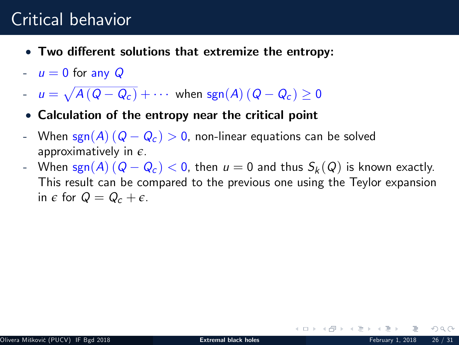- Two different solutions that extremize the entropy:
- $u = 0$  for any  $Q$
- $u = \sqrt{A(Q Q_c)} + \cdots$  when  $sgn(A)(Q Q_c) \ge 0$
- Calculation of the entropy near the critical point
- When sgn(A)( $Q Q_c$ )  $> 0$ , non-linear equations can be solved approximatively in *e*.
- When  $\text{sgn}(A)$   $(Q Q_c) < 0$ , then  $u = 0$  and thus  $S_k(Q)$  is known exactly. This result can be compared to the previous one using the Teylor expansion in  $\epsilon$  for  $Q = Q_c + \epsilon$ .

 $\Omega$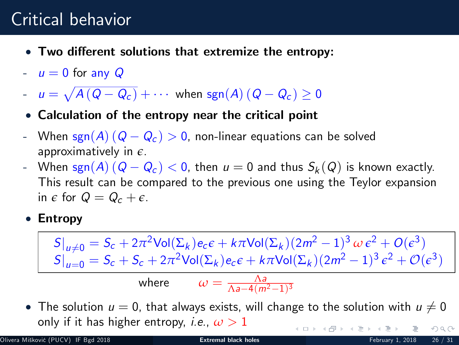- Two different solutions that extremize the entropy:
- $u = 0$  for any  $Q$
- $u = \sqrt{A(Q Q_c)} + \cdots$  when  $sgn(A)(Q Q_c) \ge 0$
- Calculation of the entropy near the critical point
- When sgn(A)( $Q Q_c$ ) > 0, non-linear equations can be solved approximatively in *e*.
- When  $\text{sgn}(A)$   $(Q Q_c) < 0$ , then  $u = 0$  and thus  $S_k(Q)$  is known exactly. This result can be compared to the previous one using the Teylor expansion in  $\epsilon$  for  $Q = Q_c + \epsilon$ .
- Entropy

 $S|_{u\neq0} = S_c + 2π^2$ Vol(Σ<sub>k</sub>)e<sub>c</sub>∈ + kπVol(Σ<sub>k</sub>)(2m<sup>2</sup> - 1)<sup>3</sup> *ω* ε<sup>2</sup> + O(ε<sup>3</sup>)  $S|_{u=0} = S_c + S_c + 2\pi^2 \text{Vol}(\Sigma_k) e_c \epsilon + k\pi \text{Vol}(\Sigma_k) (2m^2 - 1)^3 \epsilon^2 + \mathcal{O}(\epsilon^3)$ where  $\omega = \frac{\Lambda a}{\Lambda a - 4(m^2 - 1)^3}$ 

• The solution  $u = 0$ , that always exists, will change to the solution with  $u \neq 0$ only if it has higher entropy, *i.e.*,  $\omega > 1$ **K ロ ト K 個 ト K 差 ト K 差 ト**  $OQ$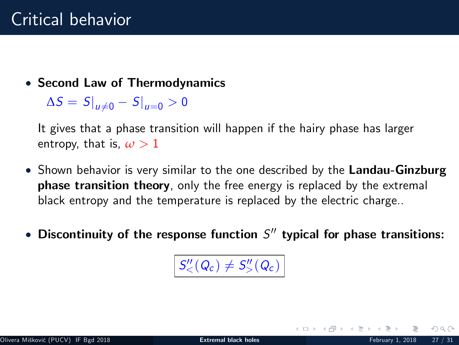• Second Law of Thermodynamics

 $\Delta S = S|_{u\neq0} - S|_{u=0} > 0$ 

It gives that a phase transition will happen if the hairy phase has larger entropy, that is,  $\omega > 1$ 

- Shown behavior is very similar to the one described by the Landau-Ginzburg **phase transition theory**, only the free energy is replaced by the extremal black entropy and the temperature is replaced by the electric charge..
- Discontinuity of the response function  $S^{\prime\prime}$  typical for phase transitions:

 $S''_{\leq}(Q_c) \neq S''_{>}(Q_c)$ 

<span id="page-44-0"></span>イロト イ御 トイモト イ毛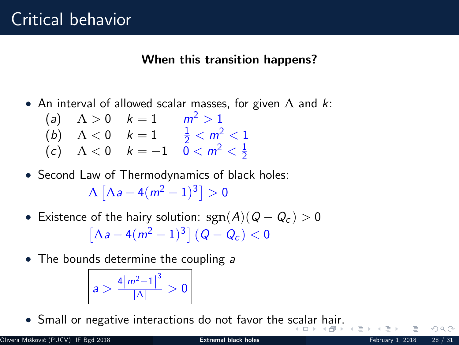#### When this transition happens?

- An interval of allowed scalar masses, for given  $\Lambda$  and k:
	- (a)  $\Lambda > 0$   $k = 1$   $m^2 > 1$ (b)  $\Lambda < 0$   $k = 1$   $\frac{1}{2} < m^2 < 1$ (c)  $\Lambda < 0$   $k = -1$   $\bar{0} < m^2 < \frac{1}{2}$
- Second Law of Thermodynamics of black holes:  $\Lambda\left[\Lambda\text{a}-4(m^2-1)^3\right]>0$
- Existence of the hairy solution:  $sgn(A)(Q Q_c) > 0$  $[\Lambda a - 4(m^2 - 1)^3] (Q - Q_c) < 0$
- The bounds determine the coupling a

<span id="page-45-0"></span>
$$
a>\frac{4\left|m^{2}-1\right|^{3}}{\left|\Lambda\right|}>0
$$

Small or negative interactions do not favor the [sca](#page-44-0)l[ar](#page-46-0) [h](#page-44-0)[air](#page-45-0)[.](#page-46-0)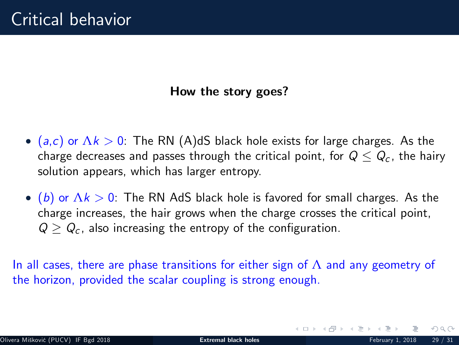#### How the story goes?

- (a,c) or  $\Delta k > 0$ : The RN (A)dS black hole exists for large charges. As the charge decreases and passes through the critical point, for  $Q \leq Q_c$ , the hairy solution appears, which has larger entropy.
- $(6)$  or  $\Lambda k > 0$ : The RN AdS black hole is favored for small charges. As the charge increases, the hair grows when the charge crosses the critical point,  $Q > Q_c$ , also increasing the entropy of the configuration.

In all cases, there are phase transitions for either sign of  $\Lambda$  and any geometry of the horizon, provided the scalar coupling is strong enough.

<span id="page-46-0"></span>イロト イ部ト イミトス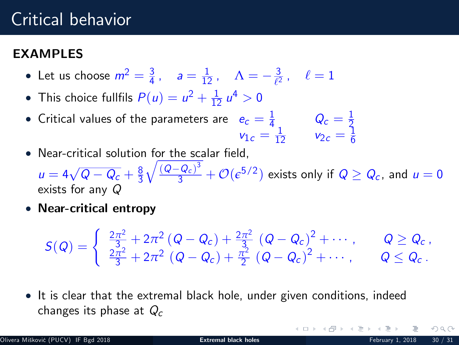### EXAMPI<sub>ES</sub>

- Let us choose  $m^2 = \frac{3}{4}$ ,  $a = \frac{1}{12}$ ,  $\Lambda = -\frac{3}{\ell^2}$ ,  $\ell = 1$
- This choice fullfils  $P(u) = u^2 + \frac{1}{12} u^4 > 0$
- Critical values of the parameters are  $e_c = \frac{1}{4}$   $Q_c = \frac{1}{2}$ <br>  $v_{1c} = \frac{1}{12}$   $v_{2c} = \frac{1}{6}$
- Near-critical solution for the scalar field,  $u=4\sqrt{Q-Q_c}+\frac{8}{3}$  $\sqrt{\frac{(Q-Q_c)^3}{3}} + \mathcal{O}(\epsilon^{5/2})$  exists only if  $Q \geq Q_c$ , and  $u = 0$ exists for any  $Q$
- Near-critical entropy

$$
S(Q) = \begin{cases} \frac{2\pi^2}{3} + 2\pi^2 (Q - Q_c) + \frac{2\pi^2}{3} (Q - Q_c)^2 + \cdots, & Q \geq Q_c, \\ \frac{2\pi^2}{3} + 2\pi^2 (Q - Q_c) + \frac{\pi^2}{2} (Q - Q_c)^2 + \cdots, & Q \leq Q_c. \end{cases}
$$

• It is clear that the extremal black hole, under given conditions, indeed changes its phase at  $Q_c$ 

**K ロト K 母 ト K ヨ ト K**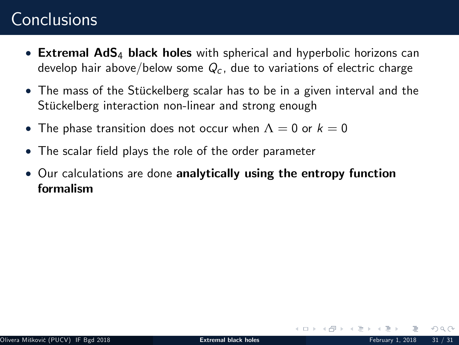## **Conclusions**

- Extremal AdS<sub>4</sub> black holes with spherical and hyperbolic horizons can develop hair above/below some  $Q_c$ , due to variations of electric charge
- The mass of the Stückelberg scalar has to be in a given interval and the Stückelberg interaction non-linear and strong enough
- The phase transition does not occur when  $\Lambda = 0$  or  $k = 0$
- The scalar field plays the role of the order parameter
- Our calculations are done analytically using the entropy function formalism

 $\Omega$ 

イロト イ母 ト イヨト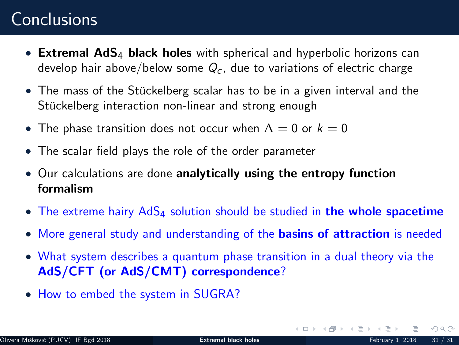## **Conclusions**

- Extremal AdS<sub>4</sub> black holes with spherical and hyperbolic horizons can develop hair above/below some  $Q_c$ , due to variations of electric charge
- $\bullet$  The mass of the Stückelberg scalar has to be in a given interval and the Stückelberg interaction non-linear and strong enough
- The phase transition does not occur when  $\Lambda = 0$  or  $k = 0$
- The scalar field plays the role of the order parameter
- Our calculations are done analytically using the entropy function formalism
- The extreme hairy  $AdS_4$  solution should be studied in the whole spacetime
- More general study and understanding of the **basins of attraction** is needed
- What system describes a quantum phase transition in a dual theory via the AdS/CFT (or AdS/CMT) correspondence?
- How to embed the system in SUGRA?

<span id="page-49-0"></span> $\Omega$ 

イロト イ部 トイモトイ